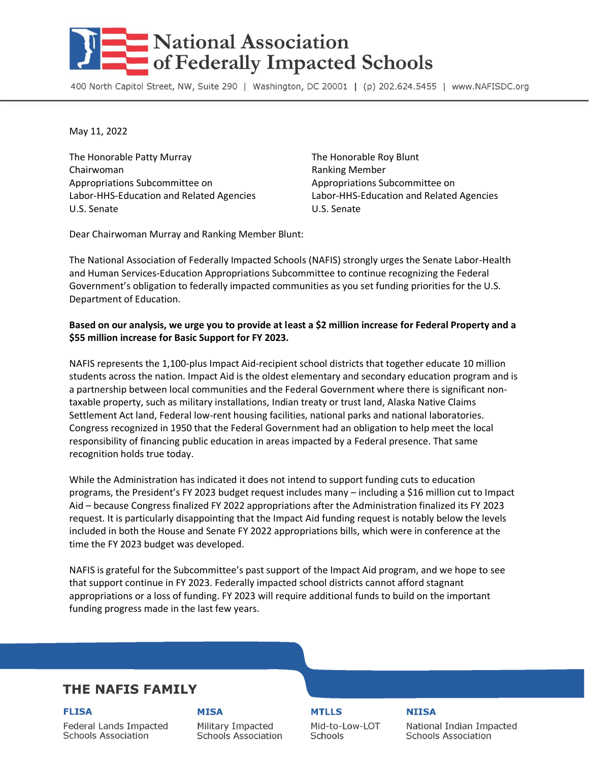# **National Association** of Federally Impacted Schools

400 North Capitol Street, NW, Suite 290 | Washington, DC 20001 | (p) 202.624.5455 | www.NAFISDC.org

May 11, 2022

The Honorable Patty Murray The Honorable Roy Blunt Chairwoman **Ranking Member** Ranking Member Appropriations Subcommittee on Appropriations Subcommittee on Labor-HHS-Education and Related Agencies Labor-HHS-Education and Related Agencies U.S. Senate U.S. Senate

Dear Chairwoman Murray and Ranking Member Blunt:

The National Association of Federally Impacted Schools (NAFIS) strongly urges the Senate Labor-Health and Human Services-Education Appropriations Subcommittee to continue recognizing the Federal Government's obligation to federally impacted communities as you set funding priorities for the U.S. Department of Education.

## **Based on our analysis, we urge you to provide at least a \$2 million increase for Federal Property and a \$55 million increase for Basic Support for FY 2023.**

NAFIS represents the 1,100-plus Impact Aid-recipient school districts that together educate 10 million students across the nation. Impact Aid is the oldest elementary and secondary education program and is a partnership between local communities and the Federal Government where there is significant nontaxable property, such as military installations, Indian treaty or trust land, Alaska Native Claims Settlement Act land, Federal low-rent housing facilities, national parks and national laboratories. Congress recognized in 1950 that the Federal Government had an obligation to help meet the local responsibility of financing public education in areas impacted by a Federal presence. That same recognition holds true today.

While the Administration has indicated it does not intend to support funding cuts to education programs, the President's FY 2023 budget request includes many – including a \$16 million cut to Impact Aid – because Congress finalized FY 2022 appropriations after the Administration finalized its FY 2023 request. It is particularly disappointing that the Impact Aid funding request is notably below the levels included in both the House and Senate FY 2022 appropriations bills, which were in conference at the time the FY 2023 budget was developed.

NAFIS is grateful for the Subcommittee's past support of the Impact Aid program, and we hope to see that support continue in FY 2023. Federally impacted school districts cannot afford stagnant appropriations or a loss of funding. FY 2023 will require additional funds to build on the important funding progress made in the last few years.

## **THE NAFIS FAMILY**

**FLISA** 

### **MISA**

Federal Lands Impacted **Schools Association** 

Military Impacted **Schools Association**  **MTLLS** Mid-to-Low-LOT

**Schools** 

**NIISA** National Indian Impacted **Schools Association**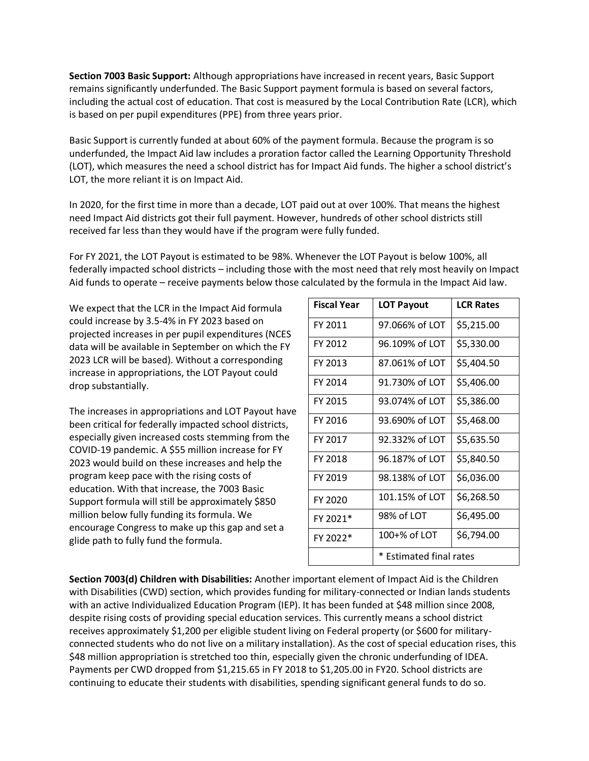**Section 7003 Basic Support:** Although appropriations have increased in recent years, Basic Support remains significantly underfunded. The Basic Support payment formula is based on several factors, including the actual cost of education. That cost is measured by the Local Contribution Rate (LCR), which is based on per pupil expenditures (PPE) from three years prior.

Basic Support is currently funded at about 60% of the payment formula. Because the program is so underfunded, the Impact Aid law includes a proration factor called the Learning Opportunity Threshold (LOT), which measures the need a school district has for Impact Aid funds. The higher a school district's LOT, the more reliant it is on Impact Aid.

In 2020, for the first time in more than a decade, LOT paid out at over 100%. That means the highest need Impact Aid districts got their full payment. However, hundreds of other school districts still received far less than they would have if the program were fully funded.

For FY 2021, the LOT Payout is estimated to be 98%. Whenever the LOT Payout is below 100%, all federally impacted school districts – including those with the most need that rely most heavily on Impact Aid funds to operate – receive payments below those calculated by the formula in the Impact Aid law.

We expect that the LCR in the Impact Aid formula could increase by 3.5-4% in FY 2023 based on projected increases in per pupil expenditures (NCES data will be available in September on which the FY 2023 LCR will be based). Without a corresponding increase in appropriations, the LOT Payout could drop substantially.

The increases in appropriations and LOT Payout have been critical for federally impacted school districts, especially given increased costs stemming from the COVID-19 pandemic. A \$55 million increase for FY 2023 would build on these increases and help the program keep pace with the rising costs of education. With that increase, the 7003 Basic Support formula will still be approximately \$850 million below fully funding its formula. We encourage Congress to make up this gap and set a glide path to fully fund the formula.

| <b>Fiscal Year</b> | <b>LOT Payout</b>       | <b>LCR Rates</b> |
|--------------------|-------------------------|------------------|
| FY 2011            | 97.066% of LOT          | \$5,215.00       |
| FY 2012            | 96.109% of LOT          | \$5,330.00       |
| FY 2013            | 87.061% of LOT          | \$5,404.50       |
| FY 2014            | 91.730% of LOT          | \$5,406.00       |
| FY 2015            | 93.074% of LOT          | \$5,386.00       |
| FY 2016            | 93.690% of LOT          | \$5,468.00       |
| FY 2017            | 92.332% of LOT          | \$5,635.50       |
| FY 2018            | 96.187% of LOT          | \$5,840.50       |
| FY 2019            | 98.138% of LOT          | \$6,036.00       |
| FY 2020            | 101.15% of LOT          | \$6,268.50       |
| FY 2021*           | 98% of LOT              | \$6,495.00       |
| FY 2022*           | 100+% of LOT            | \$6,794.00       |
|                    | * Estimated final rates |                  |

**Section 7003(d) Children with Disabilities:** Another important element of Impact Aid is the Children with Disabilities (CWD) section, which provides funding for military-connected or Indian lands students with an active Individualized Education Program (IEP). It has been funded at \$48 million since 2008, despite rising costs of providing special education services. This currently means a school district receives approximately \$1,200 per eligible student living on Federal property (or \$600 for militaryconnected students who do not live on a military installation). As the cost of special education rises, this \$48 million appropriation is stretched too thin, especially given the chronic underfunding of IDEA. Payments per CWD dropped from \$1,215.65 in FY 2018 to \$1,205.00 in FY20. School districts are continuing to educate their students with disabilities, spending significant general funds to do so.